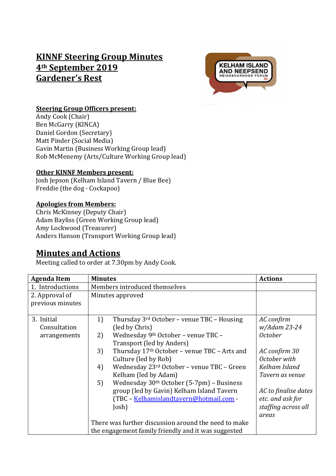# **KINNF Steering Group Minutes 4th September 2019 Gardener's Rest**



#### **Steering Group Officers present:**

Andy Cook (Chair) Ben McGarry (KINCA) Daniel Gordon (Secretary) Matt Pinder (Social Media) Gavin Martin (Business Working Group lead) Rob McMenemy (Arts/Culture Working Group lead)

#### **Other KINNF Members present:**

Josh Jepson (Kelham Island Tavern / Blue Bee) Freddie (the dog - Cockapoo)

#### **Apologies from Members:**

Chris McKinney (Deputy Chair) Adam Bayliss (Green Working Group lead) Amy Lockwood (Treasurer) Anders Hanson (Transport Working Group lead)

## **Minutes and Actions**

Meeting called to order at 7.30pm by Andy Cook.

| <b>Agenda Item</b> | <b>Minutes</b>                                              | <b>Actions</b>       |
|--------------------|-------------------------------------------------------------|----------------------|
| 1. Introductions   | Members introduced themselves                               |                      |
| 2. Approval of     | Minutes approved                                            |                      |
| previous minutes   |                                                             |                      |
|                    |                                                             |                      |
| 3. Initial         | 1)<br>Thursday $3^{rd}$ October – venue TBC – Housing       | AC confirm           |
| Consultation       | (led by Chris)                                              | w/Adam 23-24         |
| arrangements       | Wednesday 9th October - venue TBC -<br>2)                   | <i>October</i>       |
|                    | Transport (led by Anders)                                   |                      |
|                    | Thursday 17th October - venue TBC - Arts and<br>3)          | AC confirm 30        |
|                    | Culture (led by Rob)                                        | October with         |
|                    | Wednesday 23rd October - venue TBC - Green<br>4)            | Kelham Island        |
|                    | Kelham (led by Adam)                                        | Tavern as venue      |
|                    | 5)<br>Wednesday 30 <sup>th</sup> October (5-7pm) - Business |                      |
|                    | group (led by Gavin) Kelham Island Tavern                   | AC to finalise dates |
|                    | (TBC - Kelhamislandtavern@hotmail.com -                     | etc. and ask for     |
|                    | Josh)                                                       | staffing across all  |
|                    |                                                             | areas                |
|                    | There was further discussion around the need to make        |                      |
|                    | the engagement family friendly and it was suggested         |                      |